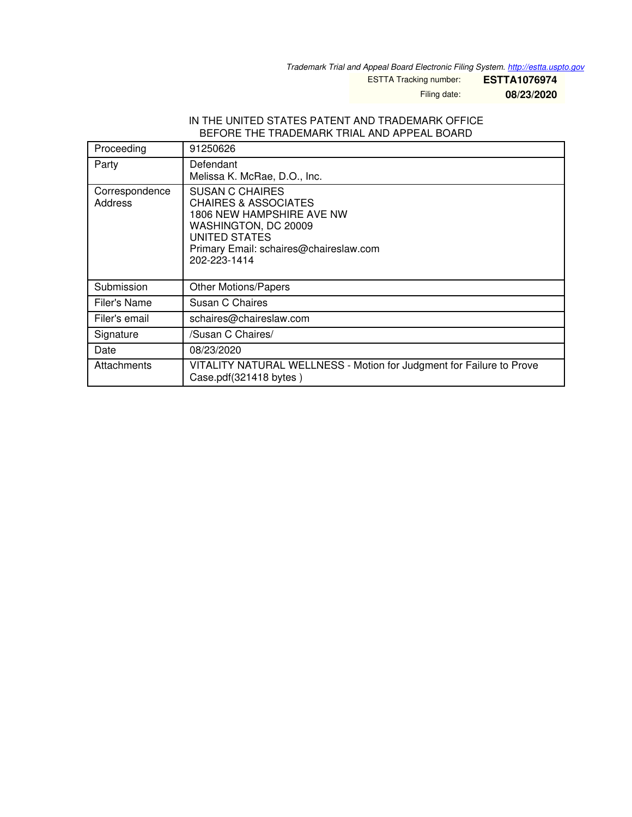*Trademark Trial and Appeal Board Electronic Filing System. <http://estta.uspto.gov>*

ESTTA Tracking number: **ESTTA1076974**

Filing date: **08/23/2020**

### IN THE UNITED STATES PATENT AND TRADEMARK OFFICE BEFORE THE TRADEMARK TRIAL AND APPEAL BOARD

| Proceeding                | 91250626                                                                                                                                                                                  |
|---------------------------|-------------------------------------------------------------------------------------------------------------------------------------------------------------------------------------------|
| Party                     | Defendant<br>Melissa K. McRae, D.O., Inc.                                                                                                                                                 |
| Correspondence<br>Address | <b>SUSAN C CHAIRES</b><br><b>CHAIRES &amp; ASSOCIATES</b><br>1806 NEW HAMPSHIRE AVE NW<br>WASHINGTON, DC 20009<br>UNITED STATES<br>Primary Email: schaires@chaireslaw.com<br>202-223-1414 |
| Submission                | <b>Other Motions/Papers</b>                                                                                                                                                               |
| Filer's Name              | Susan C Chaires                                                                                                                                                                           |
| Filer's email             | schaires@chaireslaw.com                                                                                                                                                                   |
| Signature                 | /Susan C Chaires/                                                                                                                                                                         |
| Date                      | 08/23/2020                                                                                                                                                                                |
| Attachments               | VITALITY NATURAL WELLNESS - Motion for Judgment for Failure to Prove<br>Case.pdf(321418 bytes)                                                                                            |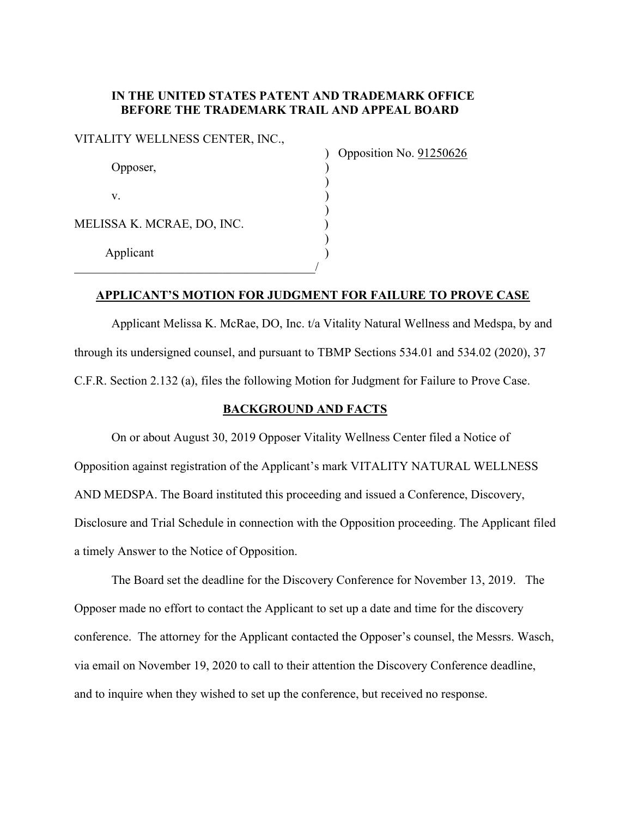# IN THE UNITED STATES PATENT AND TRADEMARK OFFICE BEFORE THE TRADEMARK TRAIL AND APPEAL BOARD

| Opposer,                   |  |
|----------------------------|--|
| V.                         |  |
| MELISSA K. MCRAE, DO, INC. |  |
| Applicant                  |  |
|                            |  |

) Opposition No. 91250626

## APPLICANT'S MOTION FOR JUDGMENT FOR FAILURE TO PROVE CASE

 Applicant Melissa K. McRae, DO, Inc. t/a Vitality Natural Wellness and Medspa, by and through its undersigned counsel, and pursuant to TBMP Sections 534.01 and 534.02 (2020), 37 C.F.R. Section 2.132 (a), files the following Motion for Judgment for Failure to Prove Case.

## BACKGROUND AND FACTS

On or about August 30, 2019 Opposer Vitality Wellness Center filed a Notice of Opposition against registration of the Applicant's mark VITALITY NATURAL WELLNESS AND MEDSPA. The Board instituted this proceeding and issued a Conference, Discovery, Disclosure and Trial Schedule in connection with the Opposition proceeding. The Applicant filed a timely Answer to the Notice of Opposition.

The Board set the deadline for the Discovery Conference for November 13, 2019. The Opposer made no effort to contact the Applicant to set up a date and time for the discovery conference. The attorney for the Applicant contacted the Opposer's counsel, the Messrs. Wasch, via email on November 19, 2020 to call to their attention the Discovery Conference deadline, and to inquire when they wished to set up the conference, but received no response.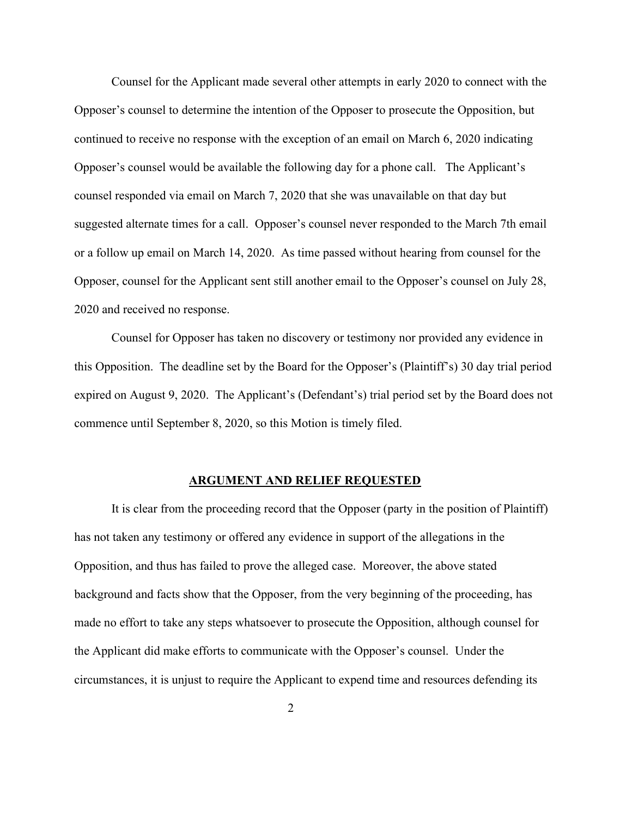Counsel for the Applicant made several other attempts in early 2020 to connect with the Opposer's counsel to determine the intention of the Opposer to prosecute the Opposition, but continued to receive no response with the exception of an email on March 6, 2020 indicating Opposer's counsel would be available the following day for a phone call. The Applicant's counsel responded via email on March 7, 2020 that she was unavailable on that day but suggested alternate times for a call. Opposer's counsel never responded to the March 7th email or a follow up email on March 14, 2020. As time passed without hearing from counsel for the Opposer, counsel for the Applicant sent still another email to the Opposer's counsel on July 28, 2020 and received no response.

 Counsel for Opposer has taken no discovery or testimony nor provided any evidence in this Opposition. The deadline set by the Board for the Opposer's (Plaintiff's) 30 day trial period expired on August 9, 2020. The Applicant's (Defendant's) trial period set by the Board does not commence until September 8, 2020, so this Motion is timely filed.

#### ARGUMENT AND RELIEF REQUESTED

It is clear from the proceeding record that the Opposer (party in the position of Plaintiff) has not taken any testimony or offered any evidence in support of the allegations in the Opposition, and thus has failed to prove the alleged case. Moreover, the above stated background and facts show that the Opposer, from the very beginning of the proceeding, has made no effort to take any steps whatsoever to prosecute the Opposition, although counsel for the Applicant did make efforts to communicate with the Opposer's counsel. Under the circumstances, it is unjust to require the Applicant to expend time and resources defending its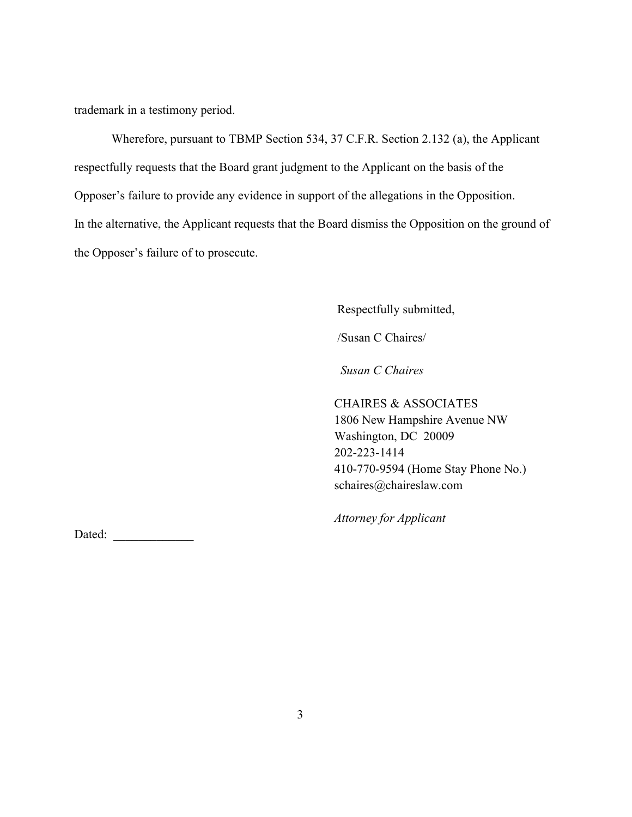trademark in a testimony period.

Wherefore, pursuant to TBMP Section 534, 37 C.F.R. Section 2.132 (a), the Applicant respectfully requests that the Board grant judgment to the Applicant on the basis of the Opposer's failure to provide any evidence in support of the allegations in the Opposition. In the alternative, the Applicant requests that the Board dismiss the Opposition on the ground of the Opposer's failure of to prosecute.

Respectfully submitted,

/Susan C Chaires/

Susan C Chaires

 CHAIRES & ASSOCIATES 1806 New Hampshire Avenue NW Washington, DC 20009 202-223-1414 410-770-9594 (Home Stay Phone No.) schaires@chaireslaw.com

Attorney for Applicant

Dated: